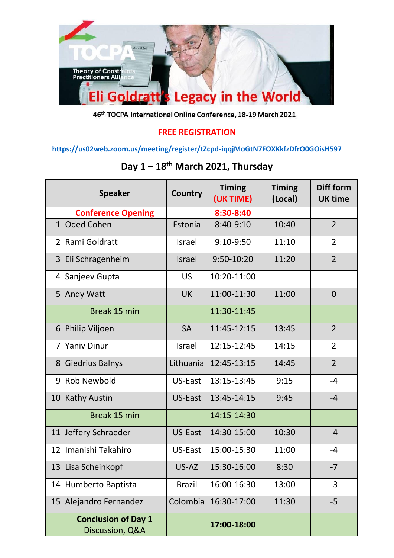

46th TOCPA International Online Conference, 18-19 March 2021

## **FREE REGISTRATION**

**<https://us02web.zoom.us/meeting/register/tZcpd-iqqjMoGtN7FOXKkfzDfrO0GOisH597>**

|                | <b>Speaker</b>                                | <b>Country</b> | <b>Timing</b><br>(UK TIME) | <b>Timing</b><br>(Local) | Diff form<br><b>UK time</b> |
|----------------|-----------------------------------------------|----------------|----------------------------|--------------------------|-----------------------------|
|                | <b>Conference Opening</b>                     |                | 8:30-8:40                  |                          |                             |
| $\mathbf{1}$   | <b>Oded Cohen</b>                             | Estonia        | 8:40-9:10                  | 10:40                    | $\overline{2}$              |
| $\overline{2}$ | Rami Goldratt                                 | <b>Israel</b>  | 9:10-9:50                  | 11:10                    | $\overline{2}$              |
| 3 <sup>1</sup> | Eli Schragenheim                              | <b>Israel</b>  | 9:50-10:20                 | 11:20                    | $\overline{2}$              |
| 4              | Sanjeev Gupta                                 | <b>US</b>      | 10:20-11:00                |                          |                             |
| 5              | Andy Watt                                     | <b>UK</b>      | 11:00-11:30                | 11:00                    | $\overline{0}$              |
|                | Break 15 min                                  |                | 11:30-11:45                |                          |                             |
| 6              | Philip Viljoen                                | <b>SA</b>      | 11:45-12:15                | 13:45                    | $\overline{2}$              |
| $\overline{7}$ | <b>Yaniv Dinur</b>                            | <b>Israel</b>  | 12:15-12:45                | 14:15                    | $\overline{2}$              |
| 8              | <b>Giedrius Balnys</b>                        | Lithuania      | 12:45-13:15                | 14:45                    | $\overline{2}$              |
| 9              | <b>Rob Newbold</b>                            | US-East        | 13:15-13:45                | 9:15                     | $-4$                        |
| 10             | <b>Kathy Austin</b>                           | US-East        | 13:45-14:15                | 9:45                     | $-4$                        |
|                | Break 15 min                                  |                | 14:15-14:30                |                          |                             |
| 11             | Jeffery Schraeder                             | US-East        | 14:30-15:00                | 10:30                    | $-4$                        |
| 12             | Imanishi Takahiro                             | US-East        | 15:00-15:30                | 11:00                    | $-4$                        |
| 13             | Lisa Scheinkopf                               | US-AZ          | 15:30-16:00                | 8:30                     | $-7$                        |
| 14             | Humberto Baptista                             | <b>Brazil</b>  | 16:00-16:30                | 13:00                    | $-3$                        |
| 15             | Alejandro Fernandez                           | Colombia       | 16:30-17:00                | 11:30                    | $-5$                        |
|                | <b>Conclusion of Day 1</b><br>Discussion, Q&A |                | 17:00-18:00                |                          |                             |

## **Day 1 – 18th March 2021, Thursday**